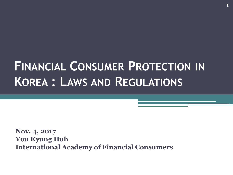# **FINANCIAL CONSUMER PROTECTION IN KOREA : LAWS AND REGULATIONS**

**Nov. 4, 2017 You Kyung Huh International Academy of Financial Consumers**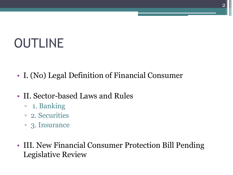# OUTLINE

- I. (No) Legal Definition of Financial Consumer
- II. Sector-based Laws and Rules
	- 1. Banking
	- 2. Securities
	- 3. Insurance
- III. New Financial Consumer Protection Bill Pending Legislative Review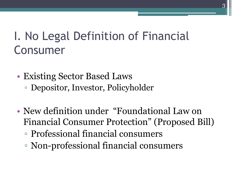## I. No Legal Definition of Financial Consumer

- Existing Sector Based Laws ▫ Depositor, Investor, Policyholder
- New definition under "Foundational Law on Financial Consumer Protection" (Proposed Bill)
	- Professional financial consumers
	- Non-professional financial consumers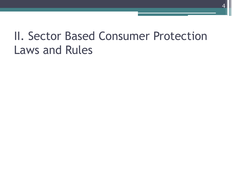### II. Sector Based Consumer Protection Laws and Rules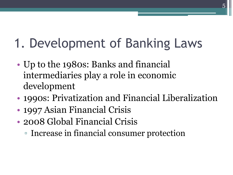# 1. Development of Banking Laws

- Up to the 1980s: Banks and financial intermediaries play a role in economic development
- 1990s: Privatization and Financial Liberalization
- 1997 Asian Financial Crisis
- 2008 Global Financial Crisis
	- Increase in financial consumer protection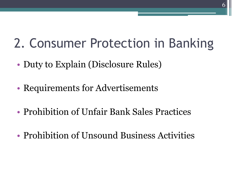# 2. Consumer Protection in Banking

- Duty to Explain (Disclosure Rules)
- Requirements for Advertisements
- Prohibition of Unfair Bank Sales Practices
- Prohibition of Unsound Business Activities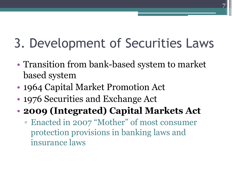# 3. Development of Securities Laws

- Transition from bank-based system to market based system
- 1964 Capital Market Promotion Act
- 1976 Securities and Exchange Act

### • **2009 (Integrated) Capital Markets Act**

▫ Enacted in 2007 "Mother" of most consumer protection provisions in banking laws and insurance laws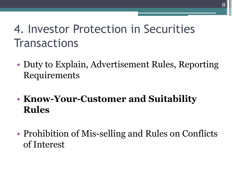### 4. Investor Protection in Securities **Transactions**

- Duty to Explain, Advertisement Rules, Reporting Requirements
- **Know-Your-Customer and Suitability Rules**
- Prohibition of Mis-selling and Rules on Conflicts of Interest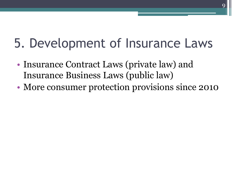# 5. Development of Insurance Laws

- Insurance Contract Laws (private law) and Insurance Business Laws (public law)
- More consumer protection provisions since 2010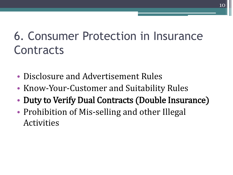## 6. Consumer Protection in Insurance **Contracts**

- Disclosure and Advertisement Rules
- Know-Your-Customer and Suitability Rules
- Duty to Verify Dual Contracts (Double Insurance)
- Prohibition of Mis-selling and other Illegal Activities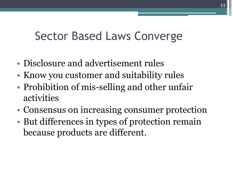### Sector Based Laws Converge

- Disclosure and advertisement rules
- Know you customer and suitability rules
- Prohibition of mis-selling and other unfair activities
- Consensus on increasing consumer protection
- But differences in types of protection remain because products are different.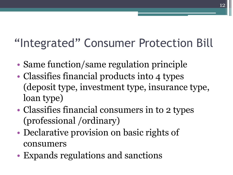# "Integrated" Consumer Protection Bill

- Same function/same regulation principle
- Classifies financial products into 4 types (deposit type, investment type, insurance type, loan type)
- Classifies financial consumers in to 2 types (professional /ordinary)
- Declarative provision on basic rights of consumers
- Expands regulations and sanctions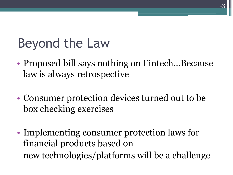# Beyond the Law

• Proposed bill says nothing on Fintech...Because law is always retrospective

13

- Consumer protection devices turned out to be box checking exercises
- Implementing consumer protection laws for financial products based on new technologies/platforms will be a challenge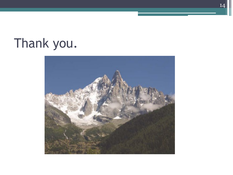# Thank you.



14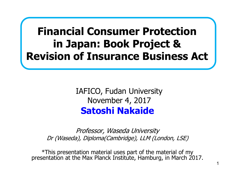#### **Financial Consumer Protection in Japan: Book Project & Revision of Insurance Business Act** ׀׀<br>׀

**Satoshi Nakaide** IAFICO, Fudan University November 4, 2017

Professor, Waseda University Dr (Waseda), Diploma(Cambridge), LLM (London, LSE)

\*This presentation material uses part of the material of my presentation at the Max Planck Institute, Hamburg, in March 2017.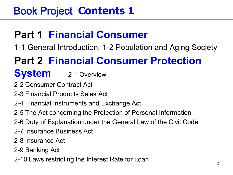### **Part 1 Financial Consumer**

1-1 General Introduction, 1-2 Population and Aging Society

### **Part 2 Financial Consumer Protection**

#### **System** 2-1 Overview

- 2-2 Consumer Contract Act
- 2-3 Financial Products Sales Act
- 2-4 Financial Instruments and Exchange Act
- 2-5 The Act concerning the Protection of Personal Information
- 2-6 Duty of Explanation under the General Law of the Civil Code
- 2-7 Insurance Business Act
- 2-8 Insurance Act
- 2-9 Banking Act
- 2-10 Laws restricting the Interest Rate for Loan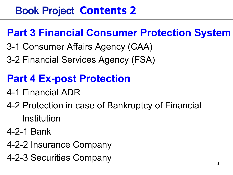### **Part 3 Financial Consumer Protection System**

- 3-1 Consumer Affairs Agency (CAA)
- 3-2 Financial Services Agency (FSA)

### **Part 4 Ex-post Protection**

- 4-1 Financial ADR
- 4-2 Protection in case of Bankruptcy of Financial Institution
- 4-2-1 Bank
- 4-2-2 Insurance Company
- 4-2-3 Securities Company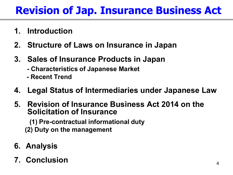### **Revision of Jap. Insurance Business Act**

- **1. Introduction**
- **2. Structure of Laws on Insurance in Japan**
- **3. Sales of Insurance Products in Japan**
	- **- Characteristics of Japanese Market**
	- **- Recent Trend**
- **4. Legal Status of Intermediaries under Japanese Law**
- **5. Revision of Insurance Business Act 2014 on the Solicitation of Insurance**

 **(1) Pre-contractual informational duty (2) Duty on the management**

- **6. Analysis**
- **7. Conclusion**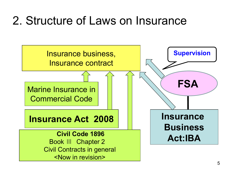## 2. Structure of Laws on Insurance

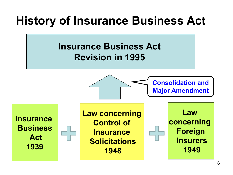## **History of Insurance Business Act**

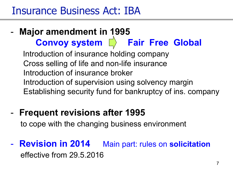#### Insurance Business Act: IBA

#### - **Major amendment in 1995 Convoy system**  $\Box$  **Fair Free Global**  Introduction of insurance holding company Cross selling of life and non-life insurance Introduction of insurance broker Introduction of supervision using solvency margin Establishing security fund for bankruptcy of ins. company

- **Frequent revisions after 1995** to cope with the changing business environment
- **Revision in 2014** Main part: rules on **solicitation** effective from 29.5.2016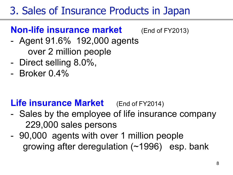### 3. Sales of Insurance Products in Japan

#### **Non-life insurance market** (End of FY2013)

- Agent 91.6% 192,000 agents over 2 million people
- Direct selling 8.0%,
- Broker 0.4%

#### **Life insurance Market** (End of FY2014)

- Sales by the employee of life insurance company 229,000 sales persons
- 90,000 agents with over 1 million people growing after deregulation (~1996) esp. bank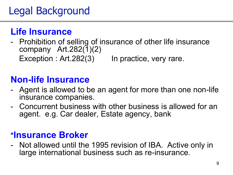### Legal Background

#### **Life Insurance**

- Prohibition of selling of insurance of other life insurance company  $Art.282(1)(2)$ Exception : Art. 282(3) In practice, very rare.

#### **Non-life Insurance**

- Agent is allowed to be an agent for more than one non-life insurance companies.
- Concurrent business with other business is allowed for an agent. e.g. Car dealer, Estate agency, bank

#### **\*Insurance Broker**

- Not allowed until the 1995 revision of IBA. Active only in large international business such as re-insurance.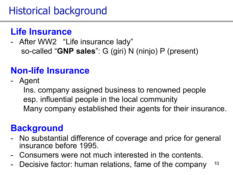#### **Life Insurance**

- After WW2 "Life insurance lady" so-called "**GNP sales**": G (giri) N (ninjo) P (present)

#### **Non-life Insurance**

- Agent

 Ins. company assigned business to renowned people esp. influential people in the local community Many company established their agents for their insurance.

#### **Background**

- No substantial difference of coverage and price for general insurance before 1995.
- Consumers were not much interested in the contents.
- 10 Decisive factor: human relations, fame of the company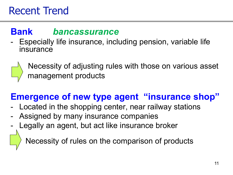#### **Bank** *bancassurance*

Especially life insurance, including pension, variable life insurance



 Necessity of adjusting rules with those on various asset management products

#### **Emergence of new type agent "insurance shop"**

- Located in the shopping center, near railway stations
- Assigned by many insurance companies
- Legally an agent, but act like insurance broker

Necessity of rules on the comparison of products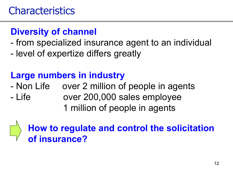#### **Diversity of channel**

- from specialized insurance agent to an individual
- level of expertize differs greatly

### **Large numbers in industry**

- Non Life over 2 million of people in agents
- Life over 200,000 sales employee 1 million of people in agents

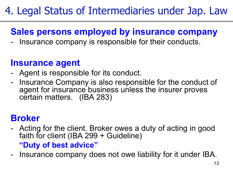### 4. Legal Status of Intermediaries under Jap. Law

#### **Sales persons employed by insurance company**

Insurance company is responsible for their conducts.

#### **Insurance agent**

- Agent is responsible for its conduct.
- Insurance Company is also responsible for the conduct of agent for insurance business unless the insurer proves certain matters. (IBA 283)

#### **Broker**

- Acting for the client. Broker owes a duty of acting in good faith for client (IBA 299 + Guideline)  **"Duty of best advice"**
- Insurance company does not owe liability for it under IBA.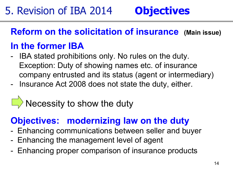#### **Reform on the solicitation of insurance (Main issue)**

#### **In the former IBA**

- IBA stated prohibitions only. No rules on the duty. Exception: Duty of showing names etc. of insurance company entrusted and its status (agent or intermediary)
- Insurance Act 2008 does not state the duty, either.

### Necessity to show the duty

#### **Objectives: modernizing law on the duty**

- Enhancing communications between seller and buyer
- Enhancing the management level of agent
- Enhancing proper comparison of insurance products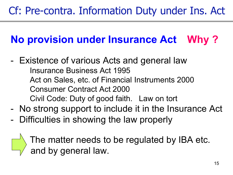### **No provision under Insurance Act Why ?**

- Existence of various Acts and general law Insurance Business Act 1995 Act on Sales, etc. of Financial Instruments 2000 Consumer Contract Act 2000 Civil Code: Duty of good faith. Law on tort
- No strong support to include it in the Insurance Act
- Difficulties in showing the law properly

 $\Box$  The matter needs to be regulated by IBA etc.  $\Box$  and by general law.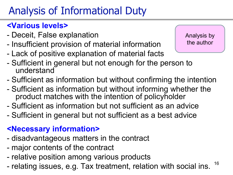### Analysis of Informational Duty

#### **<Various levels>**

- Deceit, False explanation
- Insufficient provision of material information
- Lack of positive explanation of material facts

Analysis by the author

- Sufficient in general but not enough for the person to understand
- Sufficient as information but without confirming the intention
- Sufficient as information but without informing whether the product matches with the intention of policyholder
- Sufficient as information but not sufficient as an advice
- Sufficient in general but not sufficient as a best advice

#### **<Necessary information>**

- disadvantageous matters in the contract
- major contents of the contract
- relative position among various products
- 16 - relating issues, e.g. Tax treatment, relation with social ins.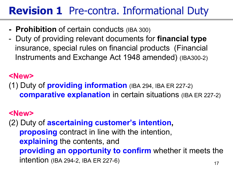### **Revision 1** Pre-contra. Informational Duty

- **Prohibition** of certain conducts (IBA 300)
- Duty of providing relevant documents for **financial type** insurance, special rules on financial products (Financial Instruments and Exchange Act 1948 amended) (IBA300-2)

#### **<New>**

(1) Duty of **providing information** (IBA 294, IBA ER 227-2) **comparative explanation** in certain situations (IBA ER 227-2)

#### **<New>**

17 (2) Duty of **ascertaining customer's intention, proposing** contract in line with the intention,  **explaining** the contents, and  **providing an opportunity to confirm** whether it meets the intention (IBA 294-2, IBA ER 227-6)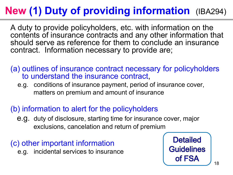### **New (1) Duty of providing information** (IBA294)

A duty to provide policyholders, etc. with information on the contents of insurance contracts and any other information that should serve as reference for them to conclude an insurance contract. Information necessary to provide are;

(a) outlines of insurance contract necessary for policyholders to understand the insurance contract,

 e.g. conditions of insurance payment, period of insurance cover, matters on premium and amount of insurance

#### (b) information to alert for the policyholders

 e.g. duty of disclosure, starting time for insurance cover, major exclusions, cancelation and return of premium

(c) other important information e.g. incidental services to insurance

**Detailed Guidelines** of FSA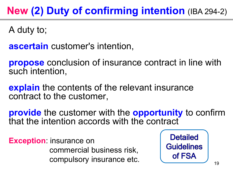### **New (2) Duty of confirming intention** (IBA 294-2)

A duty to;

**ascertain** customer's intention,

**propose** conclusion of insurance contract in line with such intention,

**explain** the contents of the relevant insurance contract to the customer,

**provide** the customer with the **opportunity** to confirm that the intention accords with the contract

**Exception**: insurance on commercial business risk, compulsory insurance etc.

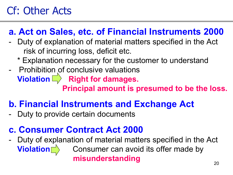### Cf: Other Acts

#### **a. Act on Sales, etc. of Financial Instruments 2000**

- Duty of explanation of material matters specified in the Act risk of incurring loss, deficit etc.
	- \* Explanation necessary for the customer to understand
- Prohibition of conclusive valuations **Violation**  $\Box$  Right for damages.  **Principal amount is presumed to be the loss.**

#### **b. Financial Instruments and Exchange Act**

Duty to provide certain documents

#### **c. Consumer Contract Act 2000**

Duty of explanation of material matters specified in the Act Consumer can avoid its offer made by  **misunderstanding Violation**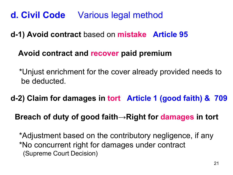#### **d. Civil Code** Various legal method

#### **d-1) Avoid contract** based on **mistake Article 95**

#### **Avoid contract and recover paid premium**

 \*Unjust enrichment for the cover already provided needs to be deducted.

**d-2) Claim for damages in tort Article 1 (good faith) & 709**

**Breach of duty of good faith→Right for damages in tort** 

\*Adjustment based on the contributory negligence, if any \*No concurrent right for damages under contract (Supreme Court Decision)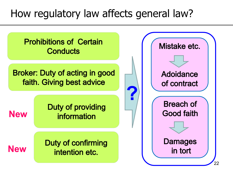### How regulatory law affects general law?

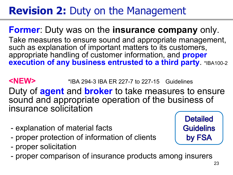### **Revision 2:** Duty on the Management

#### **Former**: Duty was on the **insurance company** only.

Take measures to ensure sound and appropriate management, such as explanation of important matters to its customers, appropriate handling of customer information, and **proper execution of any business entrusted to a third party**. \*IBA100-2

**<NEW>** \*IBA 294-3 IBA ER 227-7 to 227-15 Guidelines Duty of **agent** and **broker** to take measures to ensure sound and appropriate operation of the business of insurance solicitation

- explanation of material facts
- proper protection of information of clients
- proper solicitation
- proper comparison of insurance products among insurers

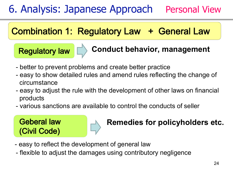### 6. Analysis: Japanese Approach Personal View

#### **Combination 1: Regulatory Law + General Law**

 $\overline{a}$ 

#### **Regulatory law | Conduct behavior, management**

- better to prevent problems and create better practice
- easy to show detailed rules and amend rules reflecting the change of circumstance
- easy to adjust the rule with the development of other laws on financial products
- various sanctions are available to control the conducts of seller



#### **Geberal law BEE All Remedies for policyholders etc.**

- easy to reflect the development of general law
- flexible to adjust the damages using contributory negligence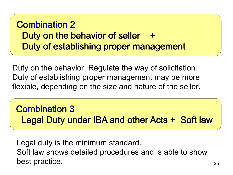#### **Combination 2** Duty on the behavior of seller + Duty of establishing proper management

Duty on the behavior. Regulate the way of solicitation. Duty of establishing proper management may be more flexible, depending on the size and nature of the seller.

#### **Combination 3** Legal Duty under IBA and other Acts + Soft law

 Legal duty is the minimum standard. Soft law shows detailed procedures and is able to show best practice.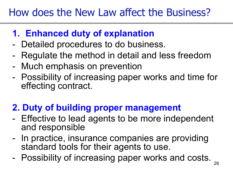### How does the New Law affect the Business?

#### **1. Enhanced duty of explanation**

- Detailed procedures to do business.
- Regulate the method in detail and less freedom
- Much emphasis on prevention
- Possibility of increasing paper works and time for effecting contract.

#### **2. Duty of building proper management**

- Effective to lead agents to be more independent and responsible
- In practice, insurance companies are providing standard tools for their agents to use.
- Possibility of increasing paper works and costs.